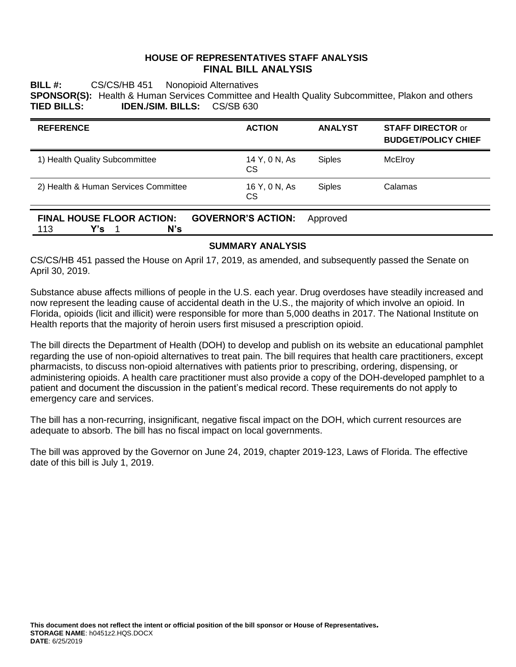### **HOUSE OF REPRESENTATIVES STAFF ANALYSIS FINAL BILL ANALYSIS**

**BILL #:** CS/CS/HB 451 Nonopioid Alternatives **SPONSOR(S):** Health & Human Services Committee and Health Quality Subcommittee, Plakon and others **TIED BILLS: IDEN./SIM. BILLS:** CS/SB 630

| <b>REFERENCE</b>                                                                   | <b>ACTION</b>       | <b>ANALYST</b> | <b>STAFF DIRECTOR or</b><br><b>BUDGET/POLICY CHIEF</b> |
|------------------------------------------------------------------------------------|---------------------|----------------|--------------------------------------------------------|
| 1) Health Quality Subcommittee                                                     | 14 Y, 0 N, As<br>CS | <b>Siples</b>  | McElroy                                                |
| 2) Health & Human Services Committee                                               | 16 Y, 0 N, As<br>CS | <b>Siples</b>  | Calamas                                                |
| <b>FINAL HOUSE FLOOR ACTION:</b><br><b>GOVERNOR'S ACTION:</b><br>Y's<br>N's<br>113 |                     | Approved       |                                                        |

### **SUMMARY ANALYSIS**

CS/CS/HB 451 passed the House on April 17, 2019, as amended, and subsequently passed the Senate on April 30, 2019.

Substance abuse affects millions of people in the U.S. each year. Drug overdoses have steadily increased and now represent the leading cause of accidental death in the U.S., the majority of which involve an opioid. In Florida, opioids (licit and illicit) were responsible for more than 5,000 deaths in 2017. The National Institute on Health reports that the majority of heroin users first misused a prescription opioid.

The bill directs the Department of Health (DOH) to develop and publish on its website an educational pamphlet regarding the use of non-opioid alternatives to treat pain. The bill requires that health care practitioners, except pharmacists, to discuss non-opioid alternatives with patients prior to prescribing, ordering, dispensing, or administering opioids. A health care practitioner must also provide a copy of the DOH-developed pamphlet to a patient and document the discussion in the patient's medical record. These requirements do not apply to emergency care and services.

The bill has a non-recurring, insignificant, negative fiscal impact on the DOH, which current resources are adequate to absorb. The bill has no fiscal impact on local governments.

The bill was approved by the Governor on June 24, 2019, chapter 2019-123, Laws of Florida. The effective date of this bill is July 1, 2019.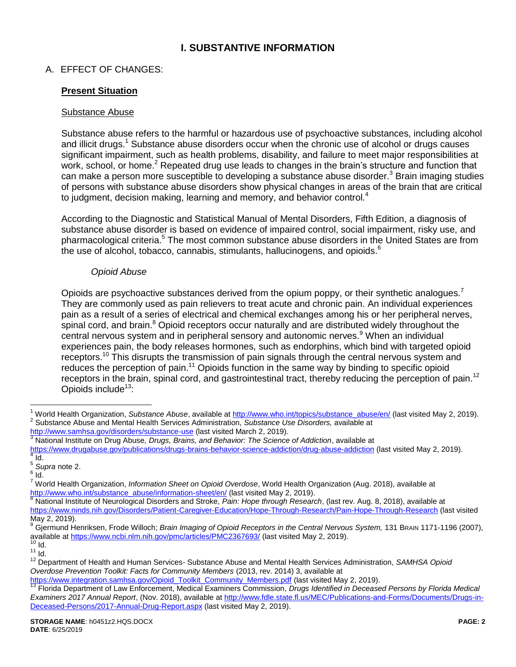# **I. SUBSTANTIVE INFORMATION**

# A. EFFECT OF CHANGES:

### **Present Situation**

#### Substance Abuse

<span id="page-1-0"></span>Substance abuse refers to the harmful or hazardous use of psychoactive substances, including alcohol and illicit drugs.<sup>1</sup> Substance abuse disorders occur when the chronic use of alcohol or drugs causes significant impairment, such as health problems, disability, and failure to meet major responsibilities at work, school, or home.<sup>2</sup> Repeated drug use leads to changes in the brain's structure and function that can make a person more susceptible to developing a substance abuse disorder.<sup>3</sup> Brain imaging studies of persons with substance abuse disorders show physical changes in areas of the brain that are critical to judgment, decision making, learning and memory, and behavior control.<sup>4</sup>

According to the Diagnostic and Statistical Manual of Mental Disorders, Fifth Edition, a diagnosis of substance abuse disorder is based on evidence of impaired control, social impairment, risky use, and pharmacological criteria.<sup>5</sup> The most common substance abuse disorders in the United States are from the use of alcohol, tobacco, cannabis, stimulants, hallucinogens, and opioids.<sup>6</sup>

### <span id="page-1-2"></span><span id="page-1-1"></span>*Opioid Abuse*

Opioids are psychoactive substances derived from the opium poppy, or their synthetic analogues.<sup>7</sup> They are commonly used as pain relievers to treat acute and chronic pain. An individual experiences pain as a result of a series of electrical and chemical exchanges among his or her peripheral nerves, spinal cord, and brain.<sup>8</sup> Opioid receptors occur naturally and are distributed widely throughout the central nervous system and in peripheral sensory and autonomic nerves.<sup>9</sup> When an individual experiences pain, the body releases hormones, such as endorphins, which bind with targeted opioid receptors.<sup>10</sup> This disrupts the transmission of pain signals through the central nervous system and reduces the perception of pain.<sup>11</sup> Opioids function in the same way by binding to specific opioid receptors in the brain, spinal cord, and gastrointestinal tract, thereby reducing the perception of pain.<sup>12</sup> Opioids include<sup>13</sup>:

<http://www.samhsa.gov/disorders/substance-use> (last visited March 2, 2019). <sup>3</sup> National Institute on Drug Abuse*, Drugs, Brains, and Behavior: The Science of Addiction*, available at <https://www.drugabuse.gov/publications/drugs-brains-behavior-science-addiction/drug-abuse-addiction> (last visited May 2, 2019).  $4$  Id.

<span id="page-1-3"></span> $\overline{a}$ 

<sup>8</sup> National Institute of Neurological Disorders and Stroke, *Pain: Hope through Research*, (last rev. Aug. 8, 2018), available at <https://www.ninds.nih.gov/Disorders/Patient-Caregiver-Education/Hope-Through-Research/Pain-Hope-Through-Research> (last visited May 2, 2019).

<sup>9</sup> Gjermund Henriksen, Frode Willoch; *Brain Imaging of Opioid Receptors in the Central Nervous System,* 131 BRAIN 1171-1196 (2007), available at<https://www.ncbi.nlm.nih.gov/pmc/articles/PMC2367693/> (last visited May 2, 2019).

[https://www.integration.samhsa.gov/Opioid\\_Toolkit\\_Community\\_Members.pdf](https://www.integration.samhsa.gov/Opioid_Toolkit_Community_Members.pdf) (last visited May 2, 2019).

<sup>&</sup>lt;sup>1</sup> World Health Organization, Substance Abuse, available at [http://www.who.int/topics/substance\\_abuse/en/](http://www.who.int/topics/substance_abuse/en/) (last visited May 2, 2019). 2 Substance Abuse and Mental Health Services Administration, *Substance Use Disorders,* available at

<sup>5</sup> *Supra* not[e 2.](#page-1-0)

 $^6$  Id.

<sup>7</sup> World Health Organization, *Information Sheet on Opioid Overdose*, World Health Organization (Aug. 2018), available at [http://www.who.int/substance\\_abuse/information-sheet/en/](http://www.who.int/substance_abuse/information-sheet/en/) (last visited May 2, 2019).

 $10$  Id.

 $11$  Id.

<sup>12</sup> Department of Health and Human Services- Substance Abuse and Mental Health Services Administration, *SAMHSA Opioid Overdose Prevention Toolkit: Facts for Community Members* (2013, rev. 2014) 3, available at

<sup>13</sup> Florida Department of Law Enforcement, Medical Examiners Commission, *Drugs Identified in Deceased Persons by Florida Medical Examiners 2017 Annual Report*, (Nov. 2018), available at [http://www.fdle.state.fl.us/MEC/Publications-and-Forms/Documents/Drugs-in-](http://www.fdle.state.fl.us/MEC/Publications-and-Forms/Documents/Drugs-in-Deceased-Persons/2017-Annual-Drug-Report.aspx)[Deceased-Persons/2017-Annual-Drug-Report.aspx](http://www.fdle.state.fl.us/MEC/Publications-and-Forms/Documents/Drugs-in-Deceased-Persons/2017-Annual-Drug-Report.aspx) (last visited May 2, 2019).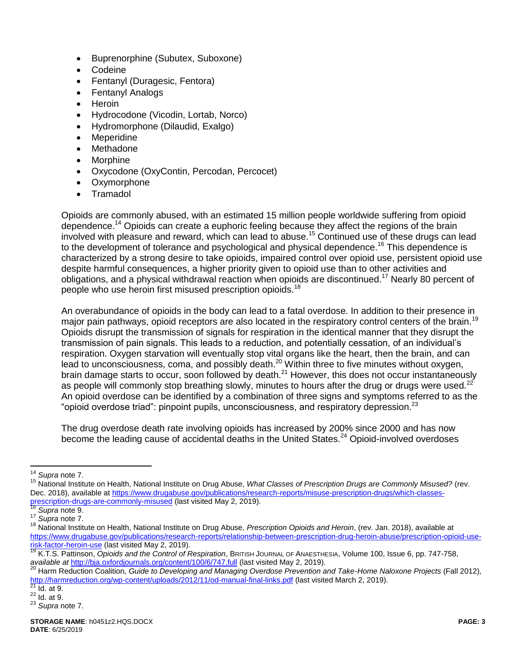- Buprenorphine (Subutex, Suboxone)
- **Codeine**
- Fentanyl (Duragesic, Fentora)
- Fentanyl Analogs
- Heroin
- Hydrocodone (Vicodin, Lortab, Norco)
- Hydromorphone (Dilaudid, Exalgo)
- Meperidine
- Methadone
- Morphine
- Oxycodone (OxyContin, Percodan, Percocet)
- Oxymorphone
- **Tramadol**

Opioids are commonly abused, with an estimated 15 million people worldwide suffering from opioid dependence.<sup>14</sup> Opioids can create a euphoric feeling because they affect the regions of the brain involved with pleasure and reward, which can lead to abuse.<sup>15</sup> Continued use of these drugs can lead to the development of tolerance and psychological and physical dependence.<sup>16</sup> This dependence is characterized by a strong desire to take opioids, impaired control over opioid use, persistent opioid use despite harmful consequences, a higher priority given to opioid use than to other activities and obligations, and a physical withdrawal reaction when opioids are discontinued.<sup>17</sup> Nearly 80 percent of people who use heroin first misused prescription opioids.<sup>18</sup>

An overabundance of opioids in the body can lead to a fatal overdose. In addition to their presence in major pain pathways, opioid receptors are also located in the respiratory control centers of the brain.<sup>19</sup> Opioids disrupt the transmission of signals for respiration in the identical manner that they disrupt the transmission of pain signals. This leads to a reduction, and potentially cessation, of an individual's respiration. Oxygen starvation will eventually stop vital organs like the heart, then the brain, and can lead to unconsciousness, coma, and possibly death.<sup>20</sup> Within three to five minutes without oxygen, brain damage starts to occur, soon followed by death. $^{21}$  However, this does not occur instantaneously as people will commonly stop breathing slowly, minutes to hours after the drug or drugs were used.<sup>22</sup> An opioid overdose can be identified by a combination of three signs and symptoms referred to as the "opioid overdose triad": pinpoint pupils, unconsciousness, and respiratory depression.<sup>23</sup>

The drug overdose death rate involving opioids has increased by 200% since 2000 and has now become the leading cause of accidental deaths in the United States.<sup>24</sup> Opioid-involved overdoses

 $\overline{a}$ <sup>14</sup> *Supra* not[e 7.](#page-1-1)

<sup>15</sup> National Institute on Health, National Institute on Drug Abuse, *What Classes of Prescription Drugs are Commonly Misused?* (rev. Dec. 2018), available at [https://www.drugabuse.gov/publications/research-reports/misuse-prescription-drugs/which-classes](https://www.drugabuse.gov/publications/research-reports/misuse-prescription-drugs/which-classes-prescription-drugs-are-commonly-misused)[prescription-drugs-are-commonly-misused](https://www.drugabuse.gov/publications/research-reports/misuse-prescription-drugs/which-classes-prescription-drugs-are-commonly-misused) (last visited May 2, 2019).

<sup>16</sup> *Supra* not[e 9.](#page-1-2)

<sup>17</sup> *Supra* not[e 7.](#page-1-1)

<sup>18</sup> National Institute on Health, National Institute on Drug Abuse, *Prescription Opioids and Heroin*, (rev. Jan. 2018), available at [https://www.drugabuse.gov/publications/research-reports/relationship-between-prescription-drug-heroin-abuse/prescription-opioid-use](https://www.drugabuse.gov/publications/research-reports/relationship-between-prescription-drug-heroin-abuse/prescription-opioid-use-risk-factor-heroin-use)[risk-factor-heroin-use](https://www.drugabuse.gov/publications/research-reports/relationship-between-prescription-drug-heroin-abuse/prescription-opioid-use-risk-factor-heroin-use) (last visited May 2, 2019).

<sup>19</sup> K.T.S. Pattinson, *Opioids and the Control of Respiration*, BRITISH JOURNAL OF ANAESTHESIA, Volume 100, Issue 6, pp. 747-758, *available at* <http://bja.oxfordjournals.org/content/100/6/747.full> (last visited May 2, 2019).

<sup>20</sup> Harm Reduction Coalition*, Guide to Developing and Managing Overdose Prevention and Take-Home Naloxone Projects* (Fall 2012), <http://harmreduction.org/wp-content/uploads/2012/11/od-manual-final-links.pdf> (last visited March 2, 2019).

 $21$  Id. at 9.

 $^{22}$  Id. at 9.

<sup>23</sup> *Supra* not[e 7.](#page-1-1)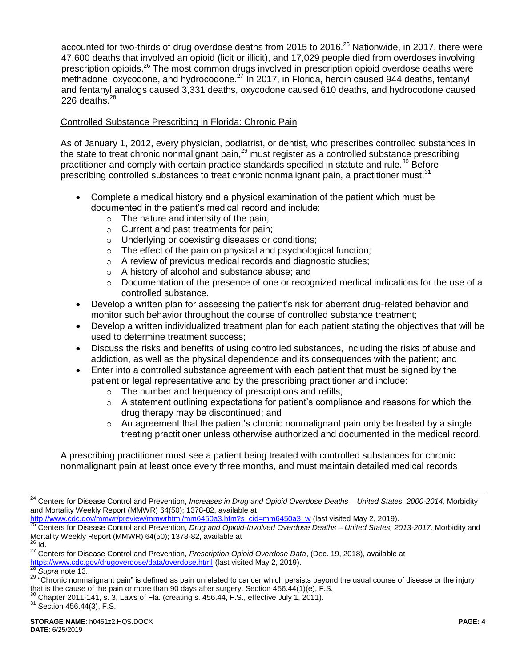accounted for two-thirds of drug overdose deaths from 2015 to 2016.<sup>25</sup> Nationwide, in 2017, there were 47,600 deaths that involved an opioid (licit or illicit), and 17,029 people died from overdoses involving prescription opioids.<sup>26</sup> The most common drugs involved in prescription opioid overdose deaths were methadone, oxycodone, and hydrocodone.<sup>27</sup> In 2017, in Florida, heroin caused 944 deaths, fentanyl and fentanyl analogs caused 3,331 deaths, oxycodone caused 610 deaths, and hydrocodone caused 226 deaths. $^{28}$ 

## Controlled Substance Prescribing in Florida: Chronic Pain

As of January 1, 2012, every physician, podiatrist, or dentist, who prescribes controlled substances in the state to treat chronic nonmalignant pain,<sup>29</sup> must register as a controlled substance prescribing practitioner and comply with certain practice standards specified in statute and rule.<sup>30</sup> Before prescribing controlled substances to treat chronic nonmalignant pain, a practitioner must: $31$ 

- Complete a medical history and a physical examination of the patient which must be documented in the patient's medical record and include:
	- o The nature and intensity of the pain;
	- o Current and past treatments for pain;
	- o Underlying or coexisting diseases or conditions;
	- o The effect of the pain on physical and psychological function;
	- o A review of previous medical records and diagnostic studies;
	- o A history of alcohol and substance abuse; and
	- $\circ$  Documentation of the presence of one or recognized medical indications for the use of a controlled substance.
- Develop a written plan for assessing the patient's risk for aberrant drug-related behavior and monitor such behavior throughout the course of controlled substance treatment;
- Develop a written individualized treatment plan for each patient stating the objectives that will be used to determine treatment success;
- Discuss the risks and benefits of using controlled substances, including the risks of abuse and addiction, as well as the physical dependence and its consequences with the patient; and
- Enter into a controlled substance agreement with each patient that must be signed by the patient or legal representative and by the prescribing practitioner and include:
	- o The number and frequency of prescriptions and refills;
	- $\circ$  A statement outlining expectations for patient's compliance and reasons for which the drug therapy may be discontinued; and
	- $\circ$  An agreement that the patient's chronic nonmalignant pain only be treated by a single treating practitioner unless otherwise authorized and documented in the medical record.

A prescribing practitioner must see a patient being treated with controlled substances for chronic nonmalignant pain at least once every three months, and must maintain detailed medical records

 $\overline{a}$ 

<sup>24</sup> Centers for Disease Control and Prevention, *Increases in Drug and Opioid Overdose Deaths – United States, 2000-2014,* Morbidity and Mortality Weekly Report (MMWR) 64(50); 1378-82, available at

[http://www.cdc.gov/mmwr/preview/mmwrhtml/mm6450a3.htm?s\\_cid=mm6450a3\\_w](http://www.cdc.gov/mmwr/preview/mmwrhtml/mm6450a3.htm?s_cid=mm6450a3_w) (last visited May 2, 2019).

<sup>25</sup> Centers for Disease Control and Prevention, *Drug and Opioid-Involved Overdose Deaths – United States, 2013-2017,* Morbidity and Mortality Weekly Report (MMWR) 64(50); 1378-82, available at  $26$  Id.

<sup>27</sup> Centers for Disease Control and Prevention*, Prescription Opioid Overdose Data*, (Dec. 19, 2018), available at <https://www.cdc.gov/drugoverdose/data/overdose.html> (last visited May 2, 2019).

Supra not[e 13.](#page-1-3)

<sup>&</sup>lt;sup>29</sup> "Chronic nonmalignant pain" is defined as pain unrelated to cancer which persists beyond the usual course of disease or the injury that is the cause of the pain or more than 90 days after surgery. Section 456.44(1)(e), F.S.

 $30$  Chapter 2011-141, s. 3, Laws of Fla. (creating s. 456.44, F.S., effective July 1, 2011).

 $31$  Section 456.44(3), F.S.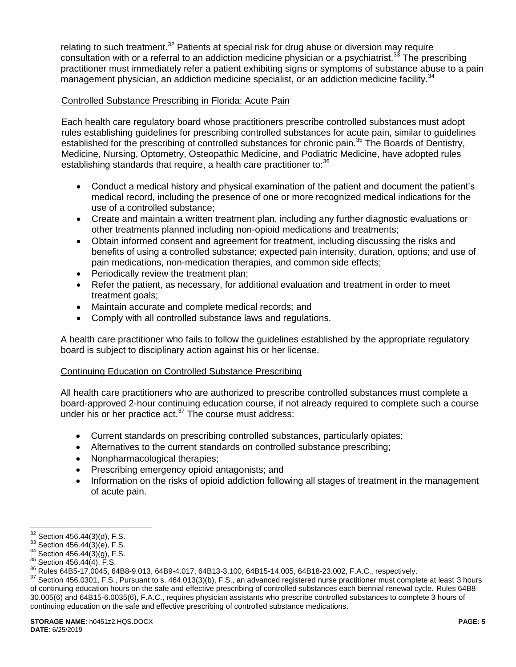relating to such treatment.<sup>32</sup> Patients at special risk for drug abuse or diversion may require consultation with or a referral to an addiction medicine physician or a psychiatrist.<sup>33</sup> The prescribing practitioner must immediately refer a patient exhibiting signs or symptoms of substance abuse to a pain management physician, an addiction medicine specialist, or an addiction medicine facility.<sup>34</sup>

## Controlled Substance Prescribing in Florida: Acute Pain

Each health care regulatory board whose practitioners prescribe controlled substances must adopt rules establishing guidelines for prescribing controlled substances for acute pain, similar to guidelines established for the prescribing of controlled substances for chronic pain.<sup>35</sup> The Boards of Dentistry, Medicine, Nursing, Optometry, Osteopathic Medicine, and Podiatric Medicine, have adopted rules establishing standards that require, a health care practitioner to:<sup>36</sup>

- Conduct a medical history and physical examination of the patient and document the patient's medical record, including the presence of one or more recognized medical indications for the use of a controlled substance;
- Create and maintain a written treatment plan, including any further diagnostic evaluations or other treatments planned including non-opioid medications and treatments;
- Obtain informed consent and agreement for treatment, including discussing the risks and benefits of using a controlled substance; expected pain intensity, duration, options; and use of pain medications, non-medication therapies, and common side effects;
- Periodically review the treatment plan;
- Refer the patient, as necessary, for additional evaluation and treatment in order to meet treatment goals;
- Maintain accurate and complete medical records; and
- Comply with all controlled substance laws and regulations.

A health care practitioner who fails to follow the guidelines established by the appropriate regulatory board is subject to disciplinary action against his or her license.

### Continuing Education on Controlled Substance Prescribing

All health care practitioners who are authorized to prescribe controlled substances must complete a board-approved 2-hour continuing education course, if not already required to complete such a course under his or her practice act. $37$  The course must address:

- Current standards on prescribing controlled substances, particularly opiates;
- Alternatives to the current standards on controlled substance prescribing;
- Nonpharmacological therapies;
- Prescribing emergency opioid antagonists; and
- Information on the risks of opioid addiction following all stages of treatment in the management of acute pain.

 $\overline{a}$ 

 $32$  Section 456.44(3)(d), F.S.

 $33$  Section 456.44(3)(e), F.S.

 $34$  Section 456.44(3)(g), F.S.

 $35$  Section 456.44(4), F.S.

<sup>36</sup> Rules 64B5-17.0045, 64B8-9.013, 64B9-4.017, 64B13-3.100, 64B15-14.005, 64B18-23.002, F.A.C., respectively.

<sup>&</sup>lt;sup>37</sup> Section 456.0301, F.S., Pursuant to s. 464.013(3)(b), F.S., an advanced registered nurse practitioner must complete at least 3 hours of continuing education hours on the safe and effective prescribing of controlled substances each biennial renewal cycle. Rules 64B8- 30.005(6) and 64B15-6.0035(6), F.A.C., requires physician assistants who prescribe controlled substances to complete 3 hours of continuing education on the safe and effective prescribing of controlled substance medications.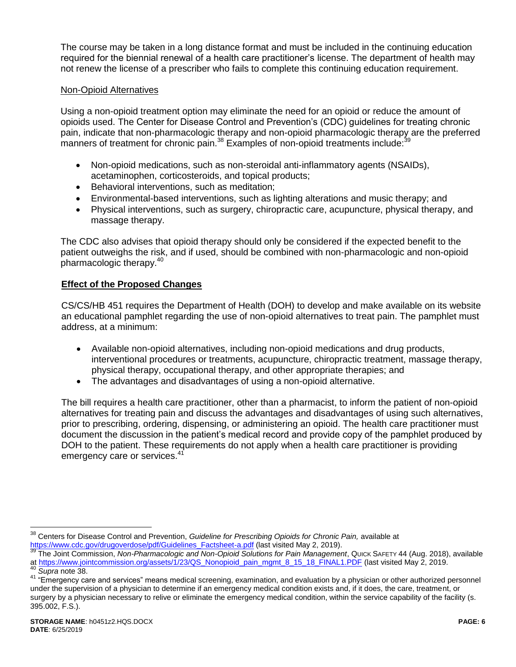The course may be taken in a long distance format and must be included in the continuing education required for the biennial renewal of a health care practitioner's license. The department of health may not renew the license of a prescriber who fails to complete this continuing education requirement.

#### Non-Opioid Alternatives

Using a non-opioid treatment option may eliminate the need for an opioid or reduce the amount of opioids used. The Center for Disease Control and Prevention's (CDC) guidelines for treating chronic pain, indicate that non-pharmacologic therapy and non-opioid pharmacologic therapy are the preferred manners of treatment for chronic pain.<sup>38</sup> Examples of non-opioid treatments include:<sup>39</sup>

- <span id="page-5-0"></span> Non-opioid medications, such as non-steroidal anti-inflammatory agents (NSAIDs), acetaminophen, corticosteroids, and topical products;
- Behavioral interventions, such as meditation:
- Environmental-based interventions, such as lighting alterations and music therapy; and
- Physical interventions, such as surgery, chiropractic care, acupuncture, physical therapy, and massage therapy.

The CDC also advises that opioid therapy should only be considered if the expected benefit to the patient outweighs the risk, and if used, should be combined with non-pharmacologic and non-opioid pharmacologic therapy.<sup>40</sup>

### **Effect of the Proposed Changes**

CS/CS/HB 451 requires the Department of Health (DOH) to develop and make available on its website an educational pamphlet regarding the use of non-opioid alternatives to treat pain. The pamphlet must address, at a minimum:

- Available non-opioid alternatives, including non-opioid medications and drug products, interventional procedures or treatments, acupuncture, chiropractic treatment, massage therapy, physical therapy, occupational therapy, and other appropriate therapies; and
- The advantages and disadvantages of using a non-opioid alternative.

The bill requires a health care practitioner, other than a pharmacist, to inform the patient of non-opioid alternatives for treating pain and discuss the advantages and disadvantages of using such alternatives, prior to prescribing, ordering, dispensing, or administering an opioid. The health care practitioner must document the discussion in the patient's medical record and provide copy of the pamphlet produced by DOH to the patient. These requirements do not apply when a health care practitioner is providing emergency care or services.<sup>41</sup>

 $\overline{a}$ <sup>38</sup> Centers for Disease Control and Prevention, *Guideline for Prescribing Opioids for Chronic Pain,* available at [https://www.cdc.gov/drugoverdose/pdf/Guidelines\\_Factsheet-a.pdf](https://www.cdc.gov/drugoverdose/pdf/Guidelines_Factsheet-a.pdf) (last visited May 2, 2019).

<sup>39</sup> The Joint Commission, *Non-Pharmacologic and Non-Opioid Solutions for Pain Management*, QUICK SAFETY 44 (Aug. 2018), available at [https://www.jointcommission.org/assets/1/23/QS\\_Nonopioid\\_pain\\_mgmt\\_8\\_15\\_18\\_FINAL1.PDF](https://www.jointcommission.org/assets/1/23/QS_Nonopioid_pain_mgmt_8_15_18_FINAL1.PDF) (last visited May 2, 2019. <sup>40</sup> *Supra* not[e 38.](#page-5-0)

<sup>41 &</sup>quot;Emergency care and services" means medical screening, examination, and evaluation by a physician or other authorized personnel under the supervision of a physician to determine if an emergency medical condition exists and, if it does, the care, treatment, or surgery by a physician necessary to relive or eliminate the emergency medical condition, within the service capability of the facility (s. 395.002, F.S.).